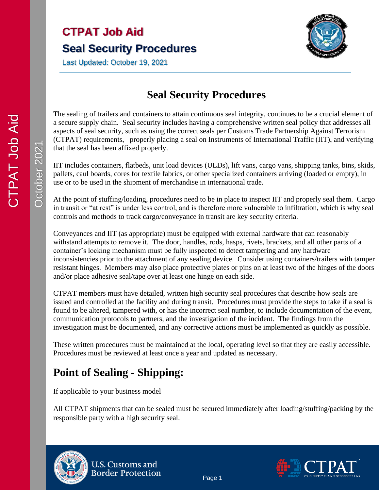# **CTPAT Job Aid Seal Security Procedures**

Last Updated: October 19, 2021



#### **Seal Security Procedures**

The sealing of trailers and containers to attain continuous seal integrity, continues to be a crucial element of a secure supply chain. Seal security includes having a comprehensive written seal policy that addresses all aspects of seal security, such as using the correct seals per Customs Trade Partnership Against Terrorism (CTPAT) requirements, properly placing a seal on Instruments of International Traffic (IIT), and verifying that the seal has been affixed properly.

IIT includes containers, flatbeds, unit load devices (ULDs), lift vans, cargo vans, shipping tanks, bins, skids, pallets, caul boards, cores for textile fabrics, or other specialized containers arriving (loaded or empty), in use or to be used in the shipment of merchandise in international trade.

At the point of stuffing/loading, procedures need to be in place to inspect IIT and properly seal them. Cargo in transit or "at rest" is under less control, and is therefore more vulnerable to infiltration, which is why seal controls and methods to track cargo/conveyance in transit are key security criteria.

Conveyances and IIT (as appropriate) must be equipped with external hardware that can reasonably withstand attempts to remove it. The door, handles, rods, hasps, rivets, brackets, and all other parts of a container's locking mechanism must be fully inspected to detect tampering and any hardware inconsistencies prior to the attachment of any sealing device. Consider using containers/trailers with tamper resistant hinges. Members may also place protective plates or pins on at least two of the hinges of the doors and/or place adhesive seal/tape over at least one hinge on each side.

CTPAT members must have detailed, written high security seal procedures that describe how seals are issued and controlled at the facility and during transit. Procedures must provide the steps to take if a seal is found to be altered, tampered with, or has the incorrect seal number, to include documentation of the event, communication protocols to partners, and the investigation of the incident. The findings from the investigation must be documented, and any corrective actions must be implemented as quickly as possible.

These written procedures must be maintained at the local, operating level so that they are easily accessible. Procedures must be reviewed at least once a year and updated as necessary.

### **Point of Sealing - Shipping:**

If applicable to your business model –

All CTPAT shipments that can be sealed must be secured immediately after loading/stuffing/packing by the responsible party with a high security seal.



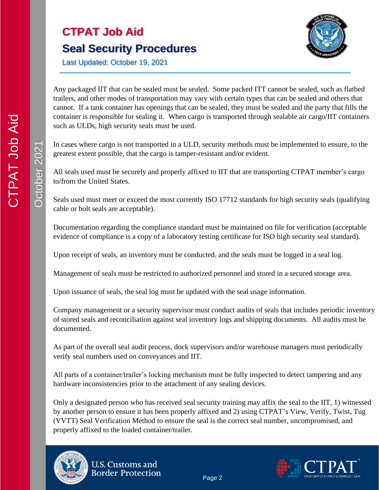

Last Updated: October 19, 2021

Any packaged IIT that can be sealed must be sealed. Some packed ITT cannot be sealed, such as flatbed trailers, and other modes of transportation may vary with certain types that can be sealed and others that cannot. If a tank container has openings that can be sealed, they must be sealed and the party that fills the container is responsible for sealing it. When cargo is transported through sealable air cargo/IIT containers such as ULDs, high security seals must be used.

In cases where cargo is not transported in a ULD, security methods must be implemented to ensure, to the greatest extent possible, that the cargo is tamper-resistant and/or evident.

All seals used must be securely and properly affixed to IIT that are transporting CTPAT member's cargo to/from the United States.

Seals used must meet or exceed the most currently ISO 17712 standards for high security seals (qualifying cable or bolt seals are acceptable).

Documentation regarding the compliance standard must be maintained on file for verification (acceptable evidence of compliance is a copy of a laboratory testing certificate for ISO high security seal standard).

Upon receipt of seals, an inventory must be conducted, and the seals must be logged in a seal log.

Management of seals must be restricted to authorized personnel and stored in a secured storage area.

Upon issuance of seals, the seal log must be updated with the seal usage information.

Company management or a security supervisor must conduct audits of seals that includes periodic inventory of stored seals and reconciliation against seal inventory logs and shipping documents. All audits must be documented.

As part of the overall seal audit process, dock supervisors and/or warehouse managers must periodically verify seal numbers used on conveyances and IIT.

All parts of a container/trailer's locking mechanism must be fully inspected to detect tampering and any hardware inconsistencies prior to the attachment of any sealing devices.

Only a designated person who has received seal security training may affix the seal to the IIT, 1) witnessed by another person to ensure it has been properly affixed and 2) using CTPAT's View, Verify, Twist, Tug (VVTT) Seal Verification Method to ensure the seal is the correct seal number, uncompromised, and properly affixed to the loaded container/trailer.







CTPAT Job Aid

**DIPAT Job Aid**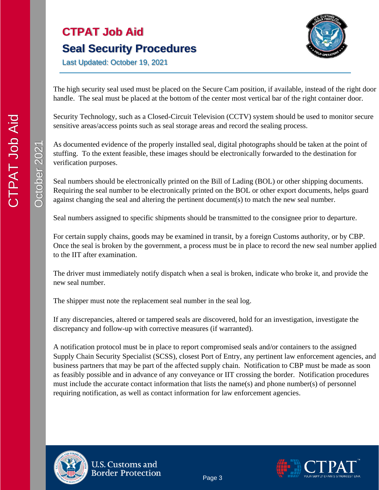# **CTPAT Job Aid Seal Security Procedures**



Last Updated: October 19, 2021

The high security seal used must be placed on the Secure Cam position, if available, instead of the right door handle. The seal must be placed at the bottom of the center most vertical bar of the right container door.

Security Technology, such as a Closed-Circuit Television (CCTV) system should be used to monitor secure sensitive areas/access points such as seal storage areas and record the sealing process.

As documented evidence of the properly installed seal, digital photographs should be taken at the point of stuffing. To the extent feasible, these images should be electronically forwarded to the destination for verification purposes.

Seal numbers should be electronically printed on the Bill of Lading (BOL) or other shipping documents. Requiring the seal number to be electronically printed on the BOL or other export documents, helps guard against changing the seal and altering the pertinent document(s) to match the new seal number.

Seal numbers assigned to specific shipments should be transmitted to the consignee prior to departure.

For certain supply chains, goods may be examined in transit, by a foreign Customs authority, or by CBP. Once the seal is broken by the government, a process must be in place to record the new seal number applied to the IIT after examination.

The driver must immediately notify dispatch when a seal is broken, indicate who broke it, and provide the new seal number.

The shipper must note the replacement seal number in the seal log.

If any discrepancies, altered or tampered seals are discovered, hold for an investigation, investigate the discrepancy and follow-up with corrective measures (if warranted).

A notification protocol must be in place to report compromised seals and/or containers to the assigned Supply Chain Security Specialist (SCSS), closest Port of Entry, any pertinent law enforcement agencies, and business partners that may be part of the affected supply chain. Notification to CBP must be made as soon as feasibly possible and in advance of any conveyance or IIT crossing the border. Notification procedures must include the accurate contact information that lists the name(s) and phone number(s) of personnel requiring notification, as well as contact information for law enforcement agencies.



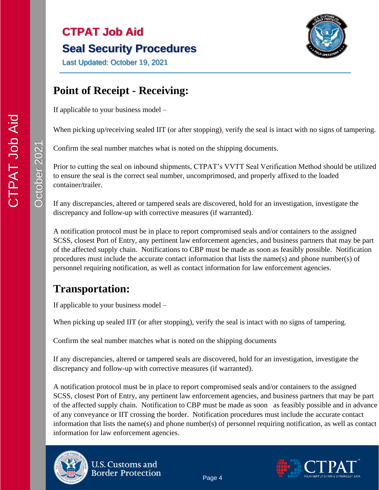# **CTPAT Job Aid Seal Security Procedures**



Last Updated: October 19, 2021

#### **Point of Receipt - Receiving:**

If applicable to your business model –

When picking up/receiving sealed IIT (or after stopping), verify the seal is intact with no signs of tampering.

Confirm the seal number matches what is noted on the shipping documents.

Prior to cutting the seal on inbound shipments, CTPAT's VVTT Seal Verification Method should be utilized to ensure the seal is the correct seal number, uncomprimosed, and properly affixed to the loaded container/trailer.

If any discrepancies, altered or tampered seals are discovered, hold for an investigation, investigate the discrepancy and follow-up with corrective measures (if warranted).

A notification protocol must be in place to report compromised seals and/or containers to the assigned SCSS, closest Port of Entry, any pertinent law enforcement agencies, and business partners that may be part of the affected supply chain. Notifications to CBP must be made as soon as feasibly possible. Notification procedures must include the accurate contact information that lists the name(s) and phone number(s) of personnel requiring notification, as well as contact information for law enforcement agencies.

## **Transportation:**

If applicable to your business model –

When picking up sealed IIT (or after stopping), verify the seal is intact with no signs of tampering.

Confirm the seal number matches what is noted on the shipping documents

If any discrepancies, altered or tampered seals are discovered, hold for an investigation, investigate the discrepancy and follow-up with corrective measures (if warranted).

A notification protocol must be in place to report compromised seals and/or containers to the assigned SCSS, closest Port of Entry, any pertinent law enforcement agencies, and business partners that may be part of the affected supply chain. Notification to CBP must be made as soon as feasibly possible and in advance of any conveyance or IIT crossing the border. Notification procedures must include the accurate contact information that lists the name(s) and phone number(s) of personnel requiring notification, as well as contact information for law enforcement agencies.